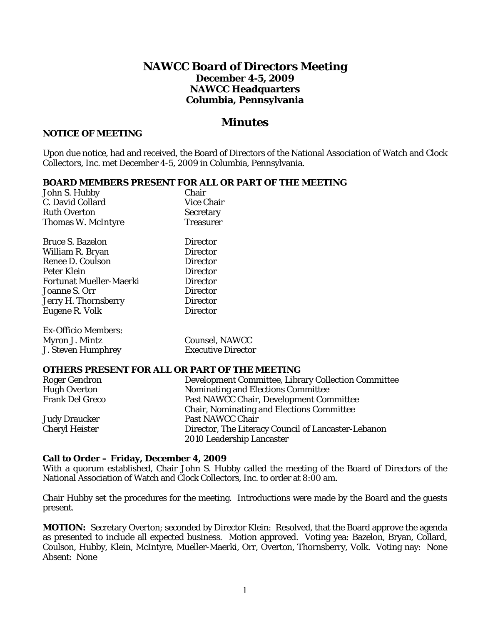# **NAWCC Board of Directors Meeting December 4-5, 2009 NAWCC Headquarters Columbia, Pennsylvania**

# *Minutes*

#### **NOTICE OF MEETING**

Upon due notice, had and received, the Board of Directors of the National Association of Watch and Clock Collectors, Inc. met December 4-5, 2009 in Columbia, Pennsylvania.

#### **BOARD MEMBERS PRESENT FOR ALL OR PART OF THE MEETING**

| John S. Hubby                  | Chair                     |
|--------------------------------|---------------------------|
| C. David Collard               | Vice Chair                |
| <b>Ruth Overton</b>            | <b>Secretary</b>          |
| <b>Thomas W. McIntyre</b>      | Treasurer                 |
| <b>Bruce S. Bazelon</b>        | Director                  |
| William R. Bryan               | Director                  |
| Renee D. Coulson               | Director                  |
|                                |                           |
| Peter Klein                    | Director                  |
| <b>Fortunat Mueller-Maerki</b> | <b>Director</b>           |
| <b>Joanne S. Orr</b>           | <b>Director</b>           |
| Jerry H. Thornsberry           | Director                  |
| Eugene R. Volk                 | Director                  |
| Ex-Officio Members:            |                           |
| Myron J. Mintz                 | Counsel, NAWCC            |
| J. Steven Humphrey             | <b>Executive Director</b> |
|                                |                           |

#### **OTHERS PRESENT FOR ALL OR PART OF THE MEETING**

| <b>Roger Gendron</b>   | Development Committee, Library Collection Committee |
|------------------------|-----------------------------------------------------|
| <b>Hugh Overton</b>    | Nominating and Elections Committee                  |
| <b>Frank Del Greco</b> | Past NAWCC Chair, Development Committee             |
|                        | <b>Chair, Nominating and Elections Committee</b>    |
| Judy Draucker          | Past NAWCC Chair                                    |
| <b>Cheryl Heister</b>  | Director, The Literacy Council of Lancaster-Lebanon |
|                        | 2010 Leadership Lancaster                           |

#### **Call to Order – Friday, December 4, 2009**

With a quorum established, Chair John S. Hubby called the meeting of the Board of Directors of the National Association of Watch and Clock Collectors, Inc. to order at 8:00 am.

Chair Hubby set the procedures for the meeting. Introductions were made by the Board and the guests present.

**MOTION:** Secretary Overton; seconded by Director Klein: Resolved, that the Board approve the agenda as presented to include all expected business. Motion approved. Voting yea: Bazelon, Bryan, Collard, Coulson, Hubby, Klein, McIntyre, Mueller-Maerki, Orr, Overton, Thornsberry, Volk. Voting nay: None Absent: None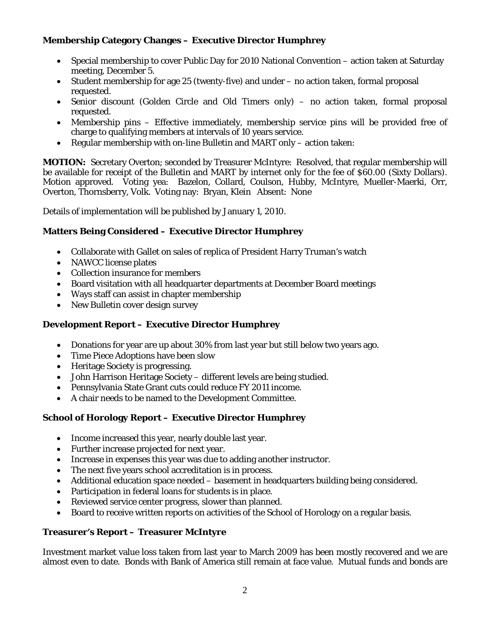# **Membership Category Changes – Executive Director Humphrey**

- Special membership to cover Public Day for 2010 National Convention action taken at Saturday meeting, December 5.
- Student membership for age 25 (twenty-five) and under no action taken, formal proposal requested.
- Senior discount (Golden Circle and Old Timers only) no action taken, formal proposal requested.
- Membership pins Effective immediately, membership service pins will be provided free of charge to qualifying members at intervals of 10 years service.
- Regular membership with on-line *Bulletin* and *MART* only action taken:

**MOTION:** Secretary Overton; seconded by Treasurer McIntyre: Resolved, that regular membership will be available for receipt of the *Bulletin* and *MART* by internet only for the fee of \$60.00 (Sixty Dollars). Motion approved. Voting yea: Bazelon, Collard, Coulson, Hubby, McIntyre, Mueller-Maerki, Orr, Overton, Thornsberry, Volk. Voting nay: Bryan, Klein Absent: None

Details of implementation will be published by January 1, 2010.

## **Matters Being Considered – Executive Director Humphrey**

- Collaborate with Gallet on sales of replica of President Harry Truman's watch
- NAWCC license plates
- Collection insurance for members
- Board visitation with all headquarter departments at December Board meetings
- Ways staff can assist in chapter membership
- New *Bulletin* cover design survey

### **Development Report – Executive Director Humphrey**

- Donations for year are up about 30% from last year but still below two years ago.
- Time Piece Adoptions have been slow
- Heritage Society is progressing.
- John Harrison Heritage Society different levels are being studied.
- Pennsylvania State Grant cuts could reduce FY 2011 income.
- A chair needs to be named to the Development Committee.

# **School of Horology Report – Executive Director Humphrey**

- Income increased this year, nearly double last year.
- Further increase projected for next year.
- Increase in expenses this year was due to adding another instructor.
- The next five years school accreditation is in process.
- Additional education space needed basement in headquarters building being considered.
- Participation in federal loans for students is in place.
- Reviewed service center progress, slower than planned.
- Board to receive written reports on activities of the School of Horology on a regular basis.

### **Treasurer's Report – Treasurer McIntyre**

Investment market value loss taken from last year to March 2009 has been mostly recovered and we are almost even to date. Bonds with Bank of America still remain at face value. Mutual funds and bonds are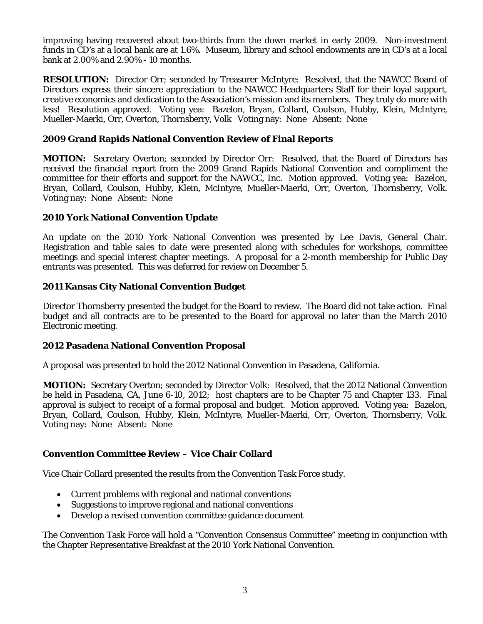improving having recovered about two-thirds from the down market in early 2009. Non-investment funds in CD's at a local bank are at 1.6%. Museum, library and school endowments are in CD's at a local bank at 2.00% and 2.90% - 10 months.

**RESOLUTION:** Director Orr; seconded by Treasurer McIntyre: Resolved, that the NAWCC Board of Directors express their sincere appreciation to the NAWCC Headquarters Staff for their loyal support, creative economics and dedication to the Association's mission and its members. They truly do more with less! Resolution approved. Voting yea: Bazelon, Bryan, Collard, Coulson, Hubby, Klein, McIntyre, Mueller-Maerki, Orr, Overton, Thornsberry, Volk Voting nay: None Absent: None

### **2009 Grand Rapids National Convention Review of Final Reports**

**MOTION:** Secretary Overton; seconded by Director Orr: Resolved, that the Board of Directors has received the financial report from the 2009 Grand Rapids National Convention and compliment the committee for their efforts and support for the NAWCC, Inc. Motion approved. Voting yea: Bazelon, Bryan, Collard, Coulson, Hubby, Klein, McIntyre, Mueller-Maerki, Orr, Overton, Thornsberry, Volk. Voting nay: None Absent: None

## **2010 York National Convention Update**

An update on the 2010 York National Convention was presented by Lee Davis, General Chair. Registration and table sales to date were presented along with schedules for workshops, committee meetings and special interest chapter meetings. A proposal for a 2-month membership for Public Day entrants was presented. This was deferred for review on December 5.

## **2011 Kansas City National Convention Budget**

Director Thornsberry presented the budget for the Board to review. The Board did not take action. Final budget and all contracts are to be presented to the Board for approval no later than the March 2010 Electronic meeting.

### **2012 Pasadena National Convention Proposal**

A proposal was presented to hold the 2012 National Convention in Pasadena, California.

**MOTION:** Secretary Overton; seconded by Director Volk: Resolved, that the 2012 National Convention be held in Pasadena, CA, June 6-10, 2012; host chapters are to be Chapter 75 and Chapter 133. Final approval is subject to receipt of a formal proposal and budget. Motion approved. Voting yea: Bazelon, Bryan, Collard, Coulson, Hubby, Klein, McIntyre, Mueller-Maerki, Orr, Overton, Thornsberry, Volk. Voting nay: None Absent: None

# **Convention Committee Review – Vice Chair Collard**

Vice Chair Collard presented the results from the Convention Task Force study.

- Current problems with regional and national conventions
- Suggestions to improve regional and national conventions
- Develop a revised convention committee guidance document

The Convention Task Force will hold a "Convention Consensus Committee" meeting in conjunction with the Chapter Representative Breakfast at the 2010 York National Convention.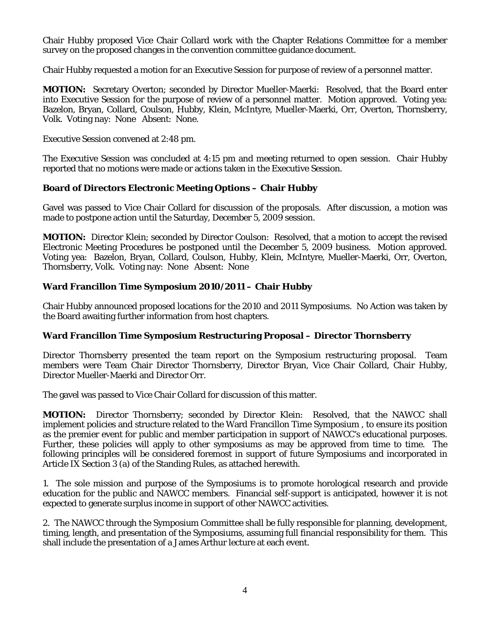Chair Hubby proposed Vice Chair Collard work with the Chapter Relations Committee for a member survey on the proposed changes in the convention committee guidance document.

Chair Hubby requested a motion for an Executive Session for purpose of review of a personnel matter.

**MOTION:** Secretary Overton; seconded by Director Mueller-Maerki: Resolved, that the Board enter into Executive Session for the purpose of review of a personnel matter. Motion approved. Voting yea: Bazelon, Bryan, Collard, Coulson, Hubby, Klein, McIntyre, Mueller-Maerki, Orr, Overton, Thornsberry, Volk. Voting nay: None Absent: None.

Executive Session convened at 2:48 pm.

The Executive Session was concluded at 4:15 pm and meeting returned to open session. Chair Hubby reported that no motions were made or actions taken in the Executive Session.

### **Board of Directors Electronic Meeting Options – Chair Hubby**

Gavel was passed to Vice Chair Collard for discussion of the proposals. After discussion, a motion was made to postpone action until the Saturday, December 5, 2009 session.

**MOTION:** Director Klein; seconded by Director Coulson: Resolved, that a motion to accept the revised Electronic Meeting Procedures be postponed until the December 5, 2009 business. Motion approved. Voting yea: Bazelon, Bryan, Collard, Coulson, Hubby, Klein, McIntyre, Mueller-Maerki, Orr, Overton, Thornsberry, Volk. Voting nay: None Absent: None

### **Ward Francillon Time Symposium 2010/2011 – Chair Hubby**

Chair Hubby announced proposed locations for the 2010 and 2011 Symposiums. No Action was taken by the Board awaiting further information from host chapters.

### **Ward Francillon Time Symposium Restructuring Proposal – Director Thornsberry**

Director Thornsberry presented the team report on the Symposium restructuring proposal. Team members were Team Chair Director Thornsberry, Director Bryan, Vice Chair Collard, Chair Hubby, Director Mueller-Maerki and Director Orr.

The gavel was passed to Vice Chair Collard for discussion of this matter.

**MOTION:** Director Thornsberry; seconded by Director Klein: Resolved, that the NAWCC shall implement policies and structure related to the Ward Francillon Time Symposium , to ensure its position as the premier event for public and member participation in support of NAWCC's educational purposes. Further, these policies will apply to other symposiums as may be approved from time to time. The following principles will be considered foremost in support of future Symposiums and incorporated in Article IX Section 3 (a) of the Standing Rules, as attached herewith.

1. The sole mission and purpose of the Symposiums is to promote horological research and provide education for the public and NAWCC members. Financial self-support is anticipated, however it is not expected to generate surplus income in support of other NAWCC activities.

2. The NAWCC through the Symposium Committee shall be fully responsible for planning, development, timing, length, and presentation of the Symposiums, assuming full financial responsibility for them. This shall include the presentation of a James Arthur lecture at each event.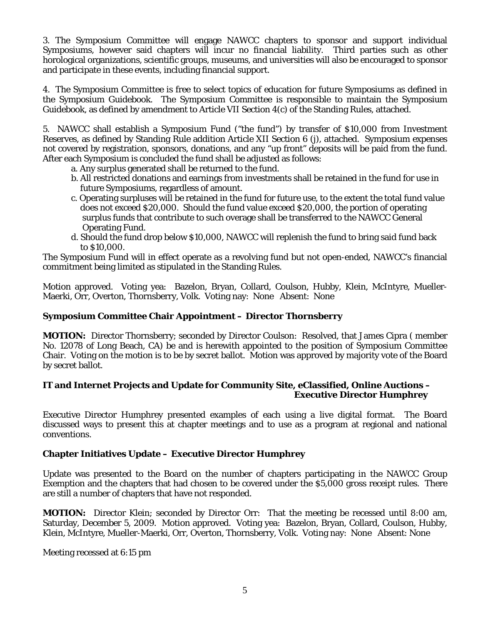3. The Symposium Committee will engage NAWCC chapters to sponsor and support individual Symposiums, however said chapters will incur no financial liability. Third parties such as other horological organizations, scientific groups, museums, and universities will also be encouraged to sponsor and participate in these events, including financial support.

4. The Symposium Committee is free to select topics of education for future Symposiums as defined in the Symposium Guidebook. The Symposium Committee is responsible to maintain the Symposium Guidebook, as defined by amendment to Article VII Section 4(c) of the Standing Rules, attached.

5. NAWCC shall establish a Symposium Fund ("the fund") by transfer of \$10,000 from Investment Reserves, as defined by Standing Rule addition Article XII Section 6 (j), attached. Symposium expenses not covered by registration, sponsors, donations, and any "up front" deposits will be paid from the fund. After each Symposium is concluded the fund shall be adjusted as follows:

a. Any surplus generated shall be returned to the fund.

- b. All restricted donations and earnings from investments shall be retained in the fund for use in future Symposiums, regardless of amount.
- c. Operating surpluses will be retained in the fund for future use, to the extent the total fund value does not exceed \$20,000. Should the fund value exceed \$20,000, the portion of operating surplus funds that contribute to such overage shall be transferred to the NAWCC General Operating Fund.
- d. Should the fund drop below \$10,000, NAWCC will replenish the fund to bring said fund back to \$10,000.

The Symposium Fund will in effect operate as a revolving fund but not open-ended, NAWCC's financial commitment being limited as stipulated in the Standing Rules.

Motion approved. Voting yea: Bazelon, Bryan, Collard, Coulson, Hubby, Klein, McIntyre, Mueller-Maerki, Orr, Overton, Thornsberry, Volk. Voting nay: None Absent: None

## **Symposium Committee Chair Appointment – Director Thornsberry**

**MOTION:** Director Thornsberry; seconded by Director Coulson: Resolved, that James Cipra ( member No. 12078 of Long Beach, CA) be and is herewith appointed to the position of Symposium Committee Chair. Voting on the motion is to be by secret ballot. Motion was approved by majority vote of the Board by secret ballot.

### **IT and Internet Projects and Update for Community Site, eClassified, Online Auctions – Executive Director Humphrey**

Executive Director Humphrey presented examples of each using a live digital format. The Board discussed ways to present this at chapter meetings and to use as a program at regional and national conventions.

### **Chapter Initiatives Update – Executive Director Humphrey**

Update was presented to the Board on the number of chapters participating in the NAWCC Group Exemption and the chapters that had chosen to be covered under the \$5,000 gross receipt rules. There are still a number of chapters that have not responded.

**MOTION:** Director Klein; seconded by Director Orr: That the meeting be recessed until 8:00 am, Saturday, December 5, 2009. Motion approved. Voting yea: Bazelon, Bryan, Collard, Coulson, Hubby, Klein, McIntyre, Mueller-Maerki, Orr, Overton, Thornsberry, Volk. Voting nay: None Absent: None

Meeting recessed at 6:15 pm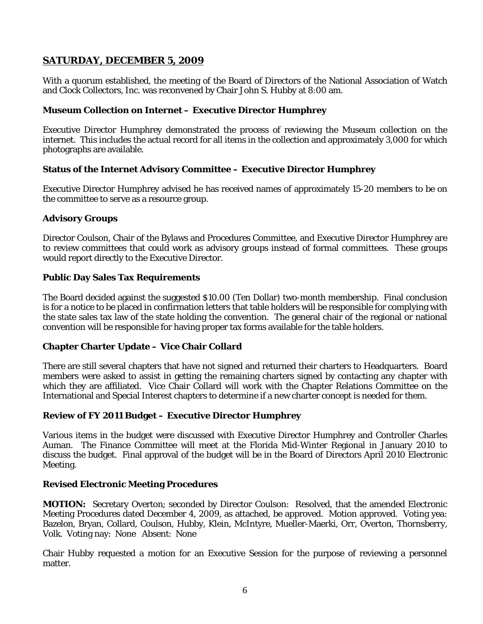# **SATURDAY, DECEMBER 5, 2009**

With a quorum established, the meeting of the Board of Directors of the National Association of Watch and Clock Collectors, Inc. was reconvened by Chair John S. Hubby at 8:00 am.

### **Museum Collection on Internet – Executive Director Humphrey**

Executive Director Humphrey demonstrated the process of reviewing the Museum collection on the internet. This includes the actual record for all items in the collection and approximately 3,000 for which photographs are available.

### **Status of the Internet Advisory Committee – Executive Director Humphrey**

Executive Director Humphrey advised he has received names of approximately 15-20 members to be on the committee to serve as a resource group.

## **Advisory Groups**

Director Coulson, Chair of the Bylaws and Procedures Committee, and Executive Director Humphrey are to review committees that could work as advisory groups instead of formal committees. These groups would report directly to the Executive Director.

### **Public Day Sales Tax Requirements**

The Board decided against the suggested \$10.00 (Ten Dollar) two-month membership. Final conclusion is for a notice to be placed in confirmation letters that table holders will be responsible for complying with the state sales tax law of the state holding the convention. The general chair of the regional or national convention will be responsible for having proper tax forms available for the table holders.

### **Chapter Charter Update – Vice Chair Collard**

There are still several chapters that have not signed and returned their charters to Headquarters. Board members were asked to assist in getting the remaining charters signed by contacting any chapter with which they are affiliated. Vice Chair Collard will work with the Chapter Relations Committee on the International and Special Interest chapters to determine if a new charter concept is needed for them.

### **Review of FY 2011 Budget – Executive Director Humphrey**

Various items in the budget were discussed with Executive Director Humphrey and Controller Charles Auman. The Finance Committee will meet at the Florida Mid-Winter Regional in January 2010 to discuss the budget. Final approval of the budget will be in the Board of Directors April 2010 Electronic Meeting.

### **Revised Electronic Meeting Procedures**

**MOTION:** Secretary Overton; seconded by Director Coulson: Resolved, that the amended Electronic Meeting Procedures dated December 4, 2009, as attached, be approved. Motion approved. Voting yea: Bazelon, Bryan, Collard, Coulson, Hubby, Klein, McIntyre, Mueller-Maerki, Orr, Overton, Thornsberry, Volk. Voting nay: None Absent: None

Chair Hubby requested a motion for an Executive Session for the purpose of reviewing a personnel matter.